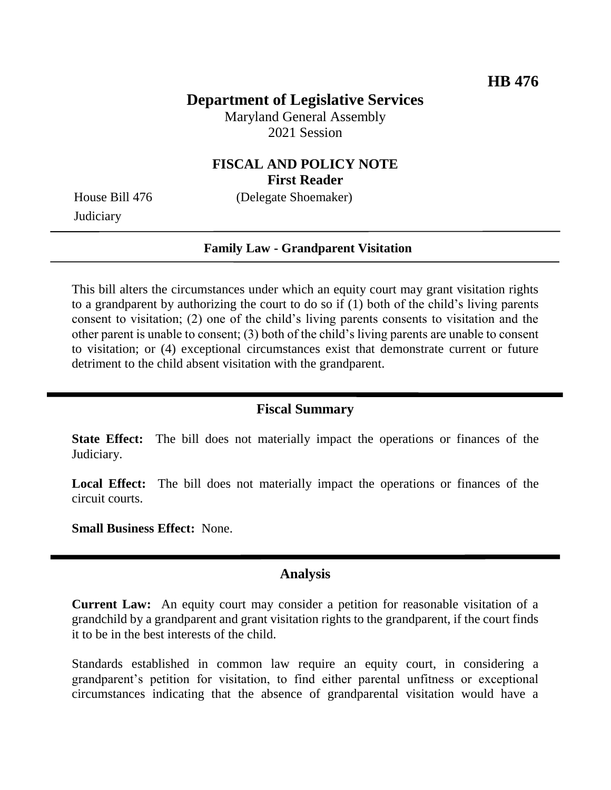## **Department of Legislative Services**

Maryland General Assembly 2021 Session

### **FISCAL AND POLICY NOTE First Reader**

**Judiciary** 

House Bill 476 (Delegate Shoemaker)

#### **Family Law - Grandparent Visitation**

This bill alters the circumstances under which an equity court may grant visitation rights to a grandparent by authorizing the court to do so if (1) both of the child's living parents consent to visitation; (2) one of the child's living parents consents to visitation and the other parent is unable to consent; (3) both of the child's living parents are unable to consent to visitation; or (4) exceptional circumstances exist that demonstrate current or future detriment to the child absent visitation with the grandparent.

#### **Fiscal Summary**

**State Effect:** The bill does not materially impact the operations or finances of the Judiciary.

**Local Effect:** The bill does not materially impact the operations or finances of the circuit courts.

**Small Business Effect:** None.

### **Analysis**

**Current Law:** An equity court may consider a petition for reasonable visitation of a grandchild by a grandparent and grant visitation rights to the grandparent, if the court finds it to be in the best interests of the child.

Standards established in common law require an equity court, in considering a grandparent's petition for visitation, to find either parental unfitness or exceptional circumstances indicating that the absence of grandparental visitation would have a